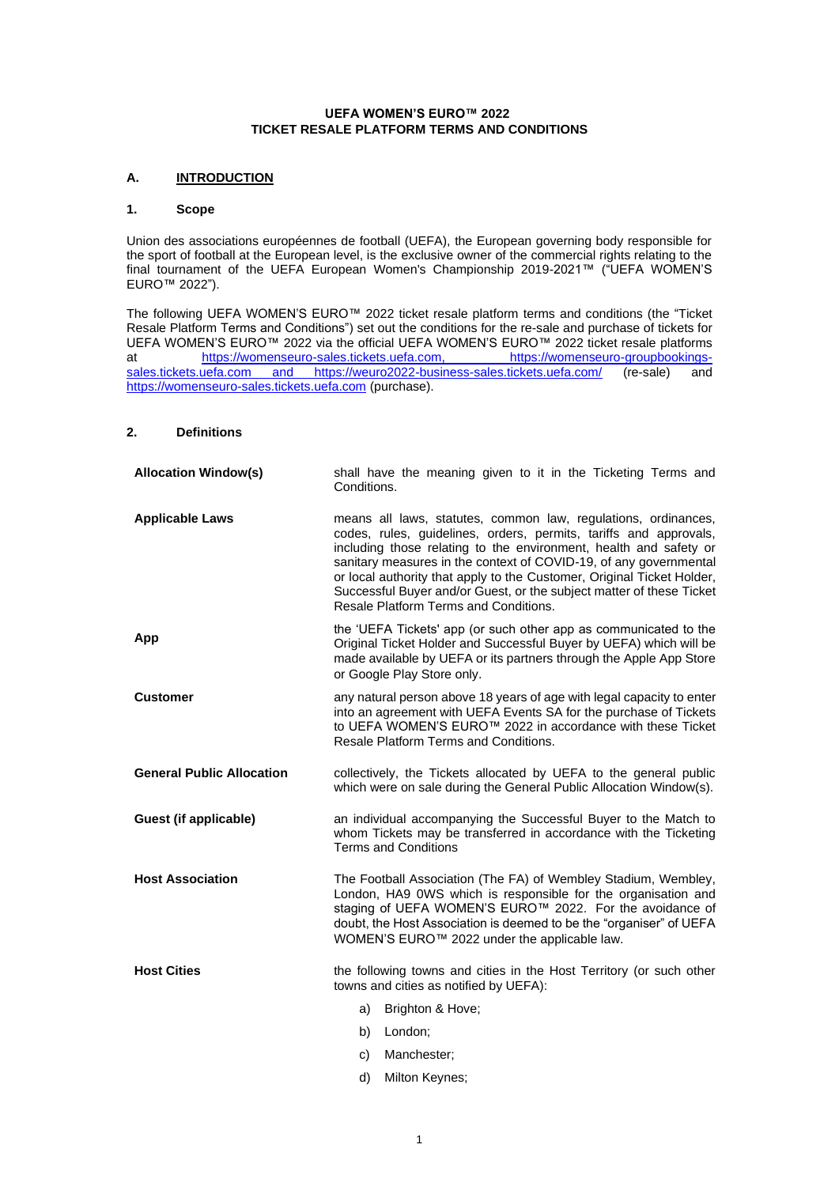## **UEFA WOMEN'S EURO™ 2022 TICKET RESALE PLATFORM TERMS AND CONDITIONS**

# **A. INTRODUCTION**

#### **1. Scope**

Union des associations européennes de football (UEFA), the European governing body responsible for the sport of football at the European level, is the exclusive owner of the commercial rights relating to the final tournament of the UEFA European Women's Championship 2019-2021™ ("UEFA WOMEN'S EURO™ 2022").

The following UEFA WOMEN'S EURO™ 2022 ticket resale platform terms and conditions (the "Ticket Resale Platform Terms and Conditions") set out the conditions for the re-sale and purchase of tickets for UEFA WOMEN'S EURO™ 2022 via the official UEFA WOMEN'S EURO™ 2022 ticket resale platforms at https://womenseuro-sales.tickets.uefa.com, [https://womenseuro-groupbookings](https://womenseuro-groupbookings-sales.tickets.uefa.com/)[sales.tickets.uefa.com](https://womenseuro-groupbookings-sales.tickets.uefa.com/) and https://weuro2022-business-sales.tickets.uefa.com/ (re-sale) and [https://womenseuro-sales.tickets.uefa.com](https://womenseuro-sales.tickets.uefa.com/) (purchase).

## **2. Definitions**

| <b>Allocation Window(s)</b>      | shall have the meaning given to it in the Ticketing Terms and<br>Conditions.                                                                                                                                                                                                                                                                                                                                                                                             |
|----------------------------------|--------------------------------------------------------------------------------------------------------------------------------------------------------------------------------------------------------------------------------------------------------------------------------------------------------------------------------------------------------------------------------------------------------------------------------------------------------------------------|
| <b>Applicable Laws</b>           | means all laws, statutes, common law, regulations, ordinances,<br>codes, rules, guidelines, orders, permits, tariffs and approvals,<br>including those relating to the environment, health and safety or<br>sanitary measures in the context of COVID-19, of any governmental<br>or local authority that apply to the Customer, Original Ticket Holder,<br>Successful Buyer and/or Guest, or the subject matter of these Ticket<br>Resale Platform Terms and Conditions. |
| App                              | the 'UEFA Tickets' app (or such other app as communicated to the<br>Original Ticket Holder and Successful Buyer by UEFA) which will be<br>made available by UEFA or its partners through the Apple App Store<br>or Google Play Store only.                                                                                                                                                                                                                               |
| <b>Customer</b>                  | any natural person above 18 years of age with legal capacity to enter<br>into an agreement with UEFA Events SA for the purchase of Tickets<br>to UEFA WOMEN'S EURO™ 2022 in accordance with these Ticket<br>Resale Platform Terms and Conditions.                                                                                                                                                                                                                        |
| <b>General Public Allocation</b> | collectively, the Tickets allocated by UEFA to the general public<br>which were on sale during the General Public Allocation Window(s).                                                                                                                                                                                                                                                                                                                                  |
| Guest (if applicable)            | an individual accompanying the Successful Buyer to the Match to<br>whom Tickets may be transferred in accordance with the Ticketing<br><b>Terms and Conditions</b>                                                                                                                                                                                                                                                                                                       |
| <b>Host Association</b>          | The Football Association (The FA) of Wembley Stadium, Wembley,<br>London, HA9 0WS which is responsible for the organisation and<br>staging of UEFA WOMEN'S EURO™ 2022. For the avoidance of<br>doubt, the Host Association is deemed to be the "organiser" of UEFA<br>WOMEN'S EURO™ 2022 under the applicable law.                                                                                                                                                       |
| <b>Host Cities</b>               | the following towns and cities in the Host Territory (or such other<br>towns and cities as notified by UEFA):                                                                                                                                                                                                                                                                                                                                                            |
|                                  | a) Brighton & Hove;                                                                                                                                                                                                                                                                                                                                                                                                                                                      |
|                                  | b) London;                                                                                                                                                                                                                                                                                                                                                                                                                                                               |
|                                  | Manchester:<br>C)                                                                                                                                                                                                                                                                                                                                                                                                                                                        |

1

d) Milton Keynes;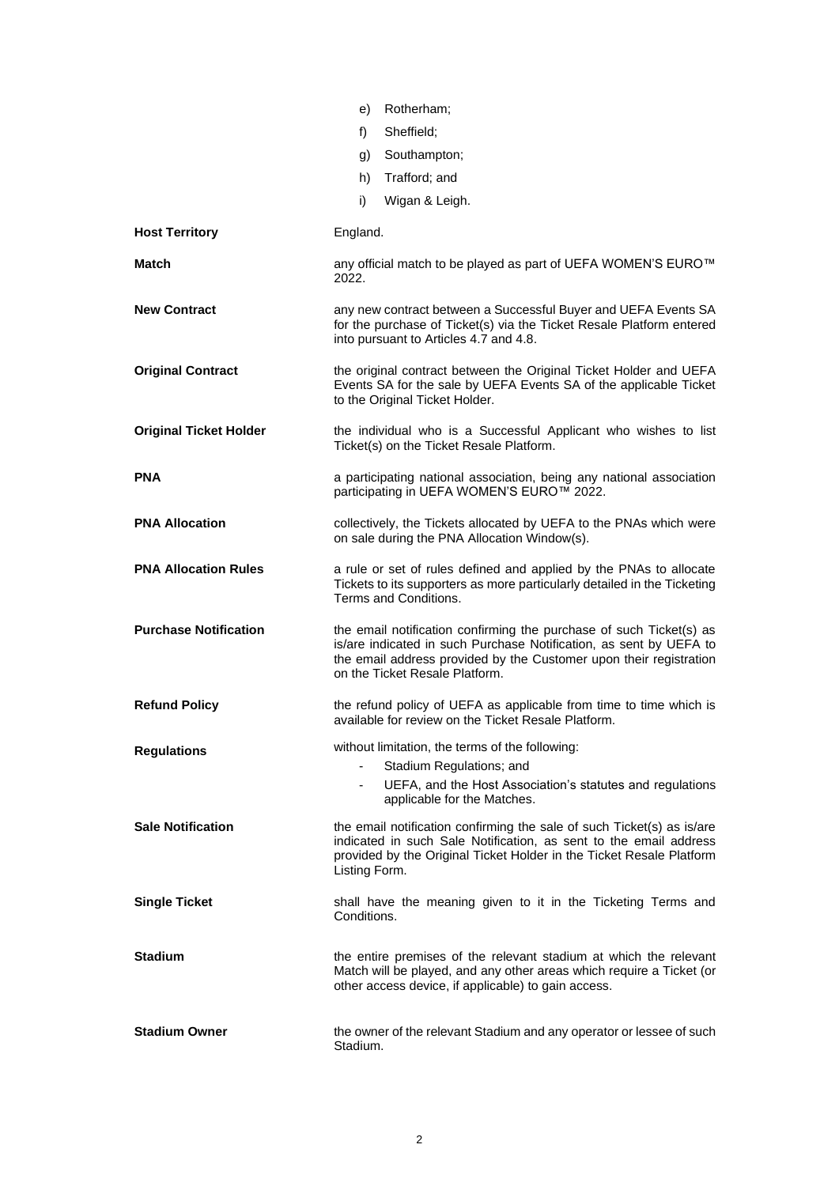|                               | e) Rotherham;                                                                                                                                                                                                                                     |
|-------------------------------|---------------------------------------------------------------------------------------------------------------------------------------------------------------------------------------------------------------------------------------------------|
|                               | Sheffield:<br>f)                                                                                                                                                                                                                                  |
|                               | Southampton;<br>g)                                                                                                                                                                                                                                |
|                               | Trafford; and<br>h)                                                                                                                                                                                                                               |
|                               | Wigan & Leigh.<br>i)                                                                                                                                                                                                                              |
| <b>Host Territory</b>         | England.                                                                                                                                                                                                                                          |
| Match                         | any official match to be played as part of UEFA WOMEN'S EURO™<br>2022.                                                                                                                                                                            |
| <b>New Contract</b>           | any new contract between a Successful Buyer and UEFA Events SA<br>for the purchase of Ticket(s) via the Ticket Resale Platform entered<br>into pursuant to Articles 4.7 and 4.8.                                                                  |
| <b>Original Contract</b>      | the original contract between the Original Ticket Holder and UEFA<br>Events SA for the sale by UEFA Events SA of the applicable Ticket<br>to the Original Ticket Holder.                                                                          |
| <b>Original Ticket Holder</b> | the individual who is a Successful Applicant who wishes to list<br>Ticket(s) on the Ticket Resale Platform.                                                                                                                                       |
| <b>PNA</b>                    | a participating national association, being any national association<br>participating in UEFA WOMEN'S EURO™ 2022.                                                                                                                                 |
| <b>PNA Allocation</b>         | collectively, the Tickets allocated by UEFA to the PNAs which were<br>on sale during the PNA Allocation Window(s).                                                                                                                                |
| <b>PNA Allocation Rules</b>   | a rule or set of rules defined and applied by the PNAs to allocate<br>Tickets to its supporters as more particularly detailed in the Ticketing<br>Terms and Conditions.                                                                           |
| <b>Purchase Notification</b>  | the email notification confirming the purchase of such Ticket(s) as<br>is/are indicated in such Purchase Notification, as sent by UEFA to<br>the email address provided by the Customer upon their registration<br>on the Ticket Resale Platform. |
| <b>Refund Policy</b>          | the refund policy of UEFA as applicable from time to time which is<br>available for review on the Ticket Resale Platform.                                                                                                                         |
| <b>Regulations</b>            | without limitation, the terms of the following:<br>Stadium Regulations; and<br>UEFA, and the Host Association's statutes and regulations<br>$\sim$<br>applicable for the Matches.                                                                 |
| <b>Sale Notification</b>      | the email notification confirming the sale of such Ticket(s) as is/are<br>indicated in such Sale Notification, as sent to the email address<br>provided by the Original Ticket Holder in the Ticket Resale Platform<br>Listing Form.              |
| <b>Single Ticket</b>          | shall have the meaning given to it in the Ticketing Terms and<br>Conditions.                                                                                                                                                                      |
| <b>Stadium</b>                | the entire premises of the relevant stadium at which the relevant<br>Match will be played, and any other areas which require a Ticket (or<br>other access device, if applicable) to gain access.                                                  |
| <b>Stadium Owner</b>          | the owner of the relevant Stadium and any operator or lessee of such<br>Stadium.                                                                                                                                                                  |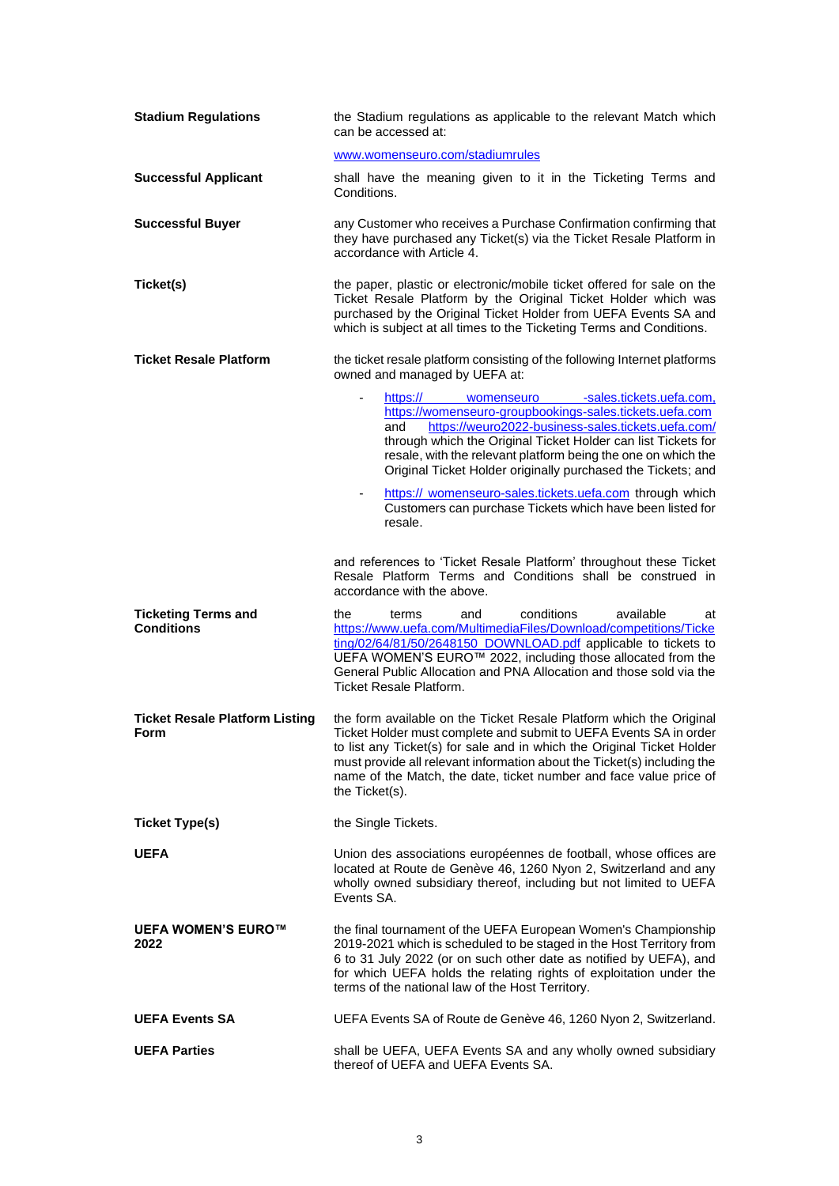| <b>Stadium Regulations</b>                      | the Stadium regulations as applicable to the relevant Match which<br>can be accessed at:                                                                                                                                                                                                                                                                                                           |
|-------------------------------------------------|----------------------------------------------------------------------------------------------------------------------------------------------------------------------------------------------------------------------------------------------------------------------------------------------------------------------------------------------------------------------------------------------------|
|                                                 | www.womenseuro.com/stadiumrules                                                                                                                                                                                                                                                                                                                                                                    |
| <b>Successful Applicant</b>                     | shall have the meaning given to it in the Ticketing Terms and<br>Conditions.                                                                                                                                                                                                                                                                                                                       |
| <b>Successful Buyer</b>                         | any Customer who receives a Purchase Confirmation confirming that<br>they have purchased any Ticket(s) via the Ticket Resale Platform in<br>accordance with Article 4.                                                                                                                                                                                                                             |
| Ticket(s)                                       | the paper, plastic or electronic/mobile ticket offered for sale on the<br>Ticket Resale Platform by the Original Ticket Holder which was<br>purchased by the Original Ticket Holder from UEFA Events SA and<br>which is subject at all times to the Ticketing Terms and Conditions.                                                                                                                |
| <b>Ticket Resale Platform</b>                   | the ticket resale platform consisting of the following Internet platforms<br>owned and managed by UEFA at:                                                                                                                                                                                                                                                                                         |
|                                                 | https:// womenseuro -sales.tickets.uefa.com.<br>$\overline{\phantom{0}}$<br>https://womenseuro-groupbookings-sales.tickets.uefa.com<br>https://weuro2022-business-sales.tickets.uefa.com/<br>and<br>through which the Original Ticket Holder can list Tickets for<br>resale, with the relevant platform being the one on which the<br>Original Ticket Holder originally purchased the Tickets; and |
|                                                 | https:// womenseuro-sales.tickets.uefa.com through which<br>Customers can purchase Tickets which have been listed for<br>resale.                                                                                                                                                                                                                                                                   |
|                                                 | and references to 'Ticket Resale Platform' throughout these Ticket<br>Resale Platform Terms and Conditions shall be construed in<br>accordance with the above.                                                                                                                                                                                                                                     |
| <b>Ticketing Terms and</b><br><b>Conditions</b> | conditions<br>available<br>the<br>terms<br>and<br>at<br>https://www.uefa.com/MultimediaFiles/Download/competitions/Ticke<br>ting/02/64/81/50/2648150_DOWNLOAD.pdf applicable to tickets to<br>UEFA WOMEN'S EURO™ 2022, including those allocated from the<br>General Public Allocation and PNA Allocation and those sold via the<br><b>Ticket Resale Platform.</b>                                 |
| <b>Ticket Resale Platform Listing</b><br>Form   | the form available on the Ticket Resale Platform which the Original<br>Ticket Holder must complete and submit to UEFA Events SA in order<br>to list any Ticket(s) for sale and in which the Original Ticket Holder<br>must provide all relevant information about the Ticket(s) including the<br>name of the Match, the date, ticket number and face value price of<br>the Ticket(s).              |
| <b>Ticket Type(s)</b>                           | the Single Tickets.                                                                                                                                                                                                                                                                                                                                                                                |
| <b>UEFA</b>                                     | Union des associations européennes de football, whose offices are<br>located at Route de Genève 46, 1260 Nyon 2, Switzerland and any<br>wholly owned subsidiary thereof, including but not limited to UEFA<br>Events SA.                                                                                                                                                                           |
| <b>UEFA WOMEN'S EURO™</b><br>2022               | the final tournament of the UEFA European Women's Championship<br>2019-2021 which is scheduled to be staged in the Host Territory from<br>6 to 31 July 2022 (or on such other date as notified by UEFA), and<br>for which UEFA holds the relating rights of exploitation under the<br>terms of the national law of the Host Territory.                                                             |
| <b>UEFA Events SA</b>                           | UEFA Events SA of Route de Genève 46, 1260 Nyon 2, Switzerland.                                                                                                                                                                                                                                                                                                                                    |
| <b>UEFA Parties</b>                             | shall be UEFA, UEFA Events SA and any wholly owned subsidiary<br>thereof of UEFA and UEFA Events SA.                                                                                                                                                                                                                                                                                               |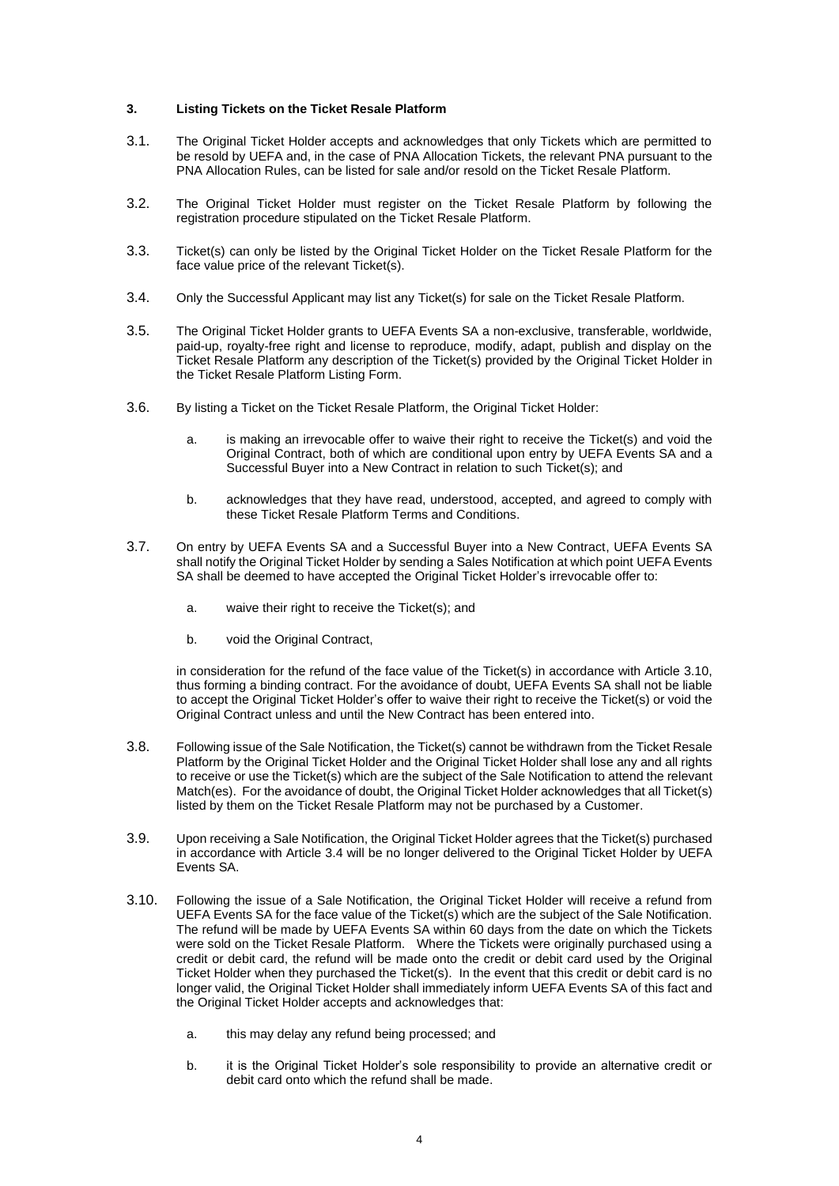#### **3. Listing Tickets on the Ticket Resale Platform**

- 3.1. The Original Ticket Holder accepts and acknowledges that only Tickets which are permitted to be resold by UEFA and, in the case of PNA Allocation Tickets, the relevant PNA pursuant to the PNA Allocation Rules, can be listed for sale and/or resold on the Ticket Resale Platform.
- 3.2. The Original Ticket Holder must register on the Ticket Resale Platform by following the registration procedure stipulated on the Ticket Resale Platform.
- 3.3. Ticket(s) can only be listed by the Original Ticket Holder on the Ticket Resale Platform for the face value price of the relevant Ticket(s).
- <span id="page-3-1"></span>3.4. Only the Successful Applicant may list any Ticket(s) for sale on the Ticket Resale Platform.
- 3.5. The Original Ticket Holder grants to UEFA Events SA a non-exclusive, transferable, worldwide, paid-up, royalty-free right and license to reproduce, modify, adapt, publish and display on the Ticket Resale Platform any description of the Ticket(s) provided by the Original Ticket Holder in the Ticket Resale Platform Listing Form.
- 3.6. By listing a Ticket on the Ticket Resale Platform, the Original Ticket Holder:
	- a. is making an irrevocable offer to waive their right to receive the Ticket(s) and void the Original Contract, both of which are conditional upon entry by UEFA Events SA and a Successful Buyer into a New Contract in relation to such Ticket(s); and
	- b. acknowledges that they have read, understood, accepted, and agreed to comply with these Ticket Resale Platform Terms and Conditions.
- 3.7. On entry by UEFA Events SA and a Successful Buyer into a New Contract, UEFA Events SA shall notify the Original Ticket Holder by sending a Sales Notification at which point UEFA Events SA shall be deemed to have accepted the Original Ticket Holder's irrevocable offer to:
	- a. waive their right to receive the Ticket(s); and
	- b. void the Original Contract,

in consideration for the refund of the face value of the Ticket(s) in accordance with Article [3.10,](#page-3-0) thus forming a binding contract. For the avoidance of doubt, UEFA Events SA shall not be liable to accept the Original Ticket Holder's offer to waive their right to receive the Ticket(s) or void the Original Contract unless and until the New Contract has been entered into.

- 3.8. Following issue of the Sale Notification, the Ticket(s) cannot be withdrawn from the Ticket Resale Platform by the Original Ticket Holder and the Original Ticket Holder shall lose any and all rights to receive or use the Ticket(s) which are the subject of the Sale Notification to attend the relevant Match(es). For the avoidance of doubt, the Original Ticket Holder acknowledges that all Ticket(s) listed by them on the Ticket Resale Platform may not be purchased by a Customer.
- 3.9. Upon receiving a Sale Notification, the Original Ticket Holder agrees that the Ticket(s) purchased in accordance with Article [3.4](#page-3-1) will be no longer delivered to the Original Ticket Holder by UEFA Events SA.
- <span id="page-3-0"></span>3.10. Following the issue of a Sale Notification, the Original Ticket Holder will receive a refund from UEFA Events SA for the face value of the Ticket(s) which are the subject of the Sale Notification. The refund will be made by UEFA Events SA within 60 days from the date on which the Tickets were sold on the Ticket Resale Platform. Where the Tickets were originally purchased using a credit or debit card, the refund will be made onto the credit or debit card used by the Original Ticket Holder when they purchased the Ticket(s). In the event that this credit or debit card is no longer valid, the Original Ticket Holder shall immediately inform UEFA Events SA of this fact and the Original Ticket Holder accepts and acknowledges that:
	- a. this may delay any refund being processed; and
	- b. it is the Original Ticket Holder's sole responsibility to provide an alternative credit or debit card onto which the refund shall be made.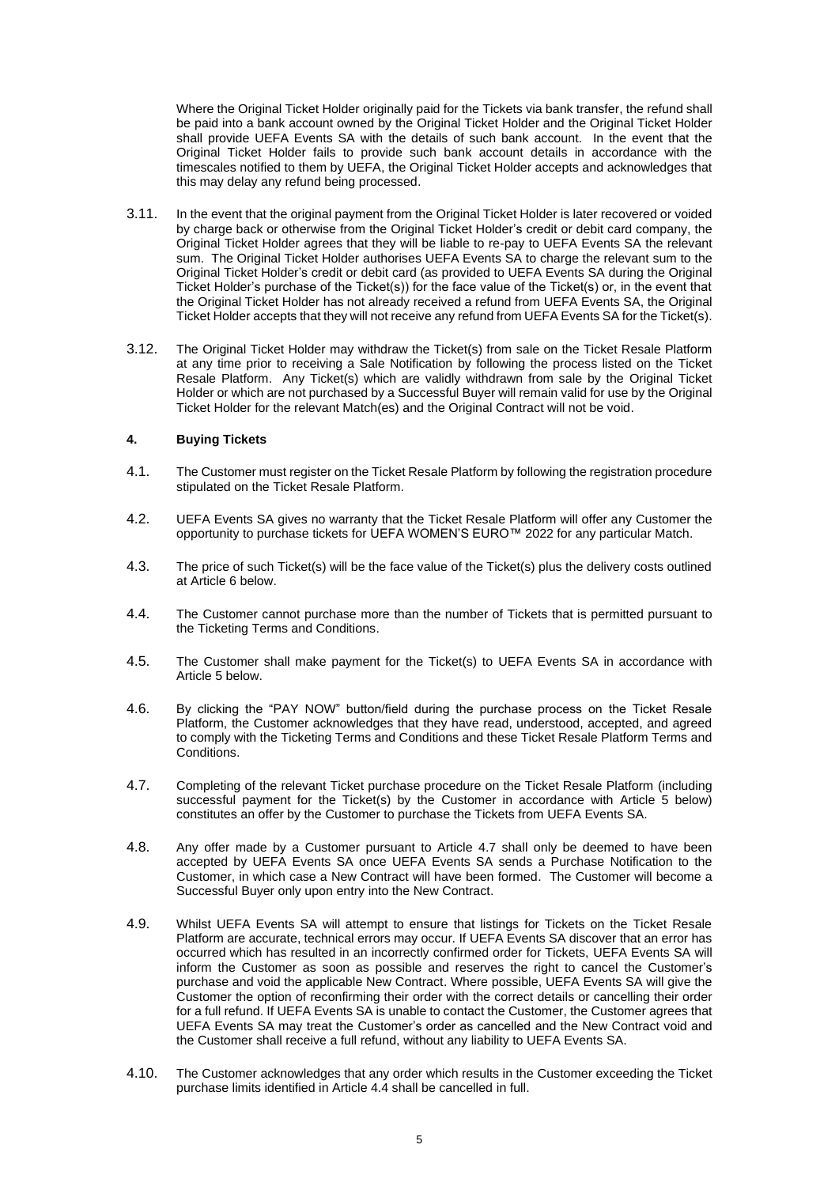Where the Original Ticket Holder originally paid for the Tickets via bank transfer, the refund shall be paid into a bank account owned by the Original Ticket Holder and the Original Ticket Holder shall provide UEFA Events SA with the details of such bank account. In the event that the Original Ticket Holder fails to provide such bank account details in accordance with the timescales notified to them by UEFA, the Original Ticket Holder accepts and acknowledges that this may delay any refund being processed.

- 3.11. In the event that the original payment from the Original Ticket Holder is later recovered or voided by charge back or otherwise from the Original Ticket Holder's credit or debit card company, the Original Ticket Holder agrees that they will be liable to re-pay to UEFA Events SA the relevant sum. The Original Ticket Holder authorises UEFA Events SA to charge the relevant sum to the Original Ticket Holder's credit or debit card (as provided to UEFA Events SA during the Original Ticket Holder's purchase of the Ticket(s)) for the face value of the Ticket(s) or, in the event that the Original Ticket Holder has not already received a refund from UEFA Events SA, the Original Ticket Holder accepts that they will not receive any refund from UEFA Events SA for the Ticket(s).
- 3.12. The Original Ticket Holder may withdraw the Ticket(s) from sale on the Ticket Resale Platform at any time prior to receiving a Sale Notification by following the process listed on the Ticket Resale Platform. Any Ticket(s) which are validly withdrawn from sale by the Original Ticket Holder or which are not purchased by a Successful Buyer will remain valid for use by the Original Ticket Holder for the relevant Match(es) and the Original Contract will not be void.

## <span id="page-4-2"></span>**4. Buying Tickets**

- 4.1. The Customer must register on the Ticket Resale Platform by following the registration procedure stipulated on the Ticket Resale Platform.
- 4.2. UEFA Events SA gives no warranty that the Ticket Resale Platform will offer any Customer the opportunity to purchase tickets for UEFA WOMEN'S EURO™ 2022 for any particular Match.
- 4.3. The price of such Ticket(s) will be the face value of the Ticket(s) plus the delivery costs outlined at Article [6](#page-5-0) below.
- 4.4. The Customer cannot purchase more than the number of Tickets that is permitted pursuant to the Ticketing Terms and Conditions.
- 4.5. The Customer shall make payment for the Ticket(s) to UEFA Events SA in accordance with Article [5](#page-5-1) below.
- 4.6. By clicking the "PAY NOW" button/field during the purchase process on the Ticket Resale Platform, the Customer acknowledges that they have read, understood, accepted, and agreed to comply with the Ticketing Terms and Conditions and these Ticket Resale Platform Terms and Conditions.
- <span id="page-4-0"></span>4.7. Completing of the relevant Ticket purchase procedure on the Ticket Resale Platform (including successful payment for the Ticket(s) by the Customer in accordance with Article [5](#page-5-1) below) constitutes an offer by the Customer to purchase the Tickets from UEFA Events SA.
- <span id="page-4-1"></span>4.8. Any offer made by a Customer pursuant to Article [4.7](#page-4-0) shall only be deemed to have been accepted by UEFA Events SA once UEFA Events SA sends a Purchase Notification to the Customer, in which case a New Contract will have been formed. The Customer will become a Successful Buyer only upon entry into the New Contract.
- 4.9. Whilst UEFA Events SA will attempt to ensure that listings for Tickets on the Ticket Resale Platform are accurate, technical errors may occur. If UEFA Events SA discover that an error has occurred which has resulted in an incorrectly confirmed order for Tickets, UEFA Events SA will inform the Customer as soon as possible and reserves the right to cancel the Customer's purchase and void the applicable New Contract. Where possible, UEFA Events SA will give the Customer the option of reconfirming their order with the correct details or cancelling their order for a full refund. If UEFA Events SA is unable to contact the Customer, the Customer agrees that UEFA Events SA may treat the Customer's order as cancelled and the New Contract void and the Customer shall receive a full refund, without any liability to UEFA Events SA.
- 4.10. The Customer acknowledges that any order which results in the Customer exceeding the Ticket purchase limits identified in Article 4.4 shall be cancelled in full.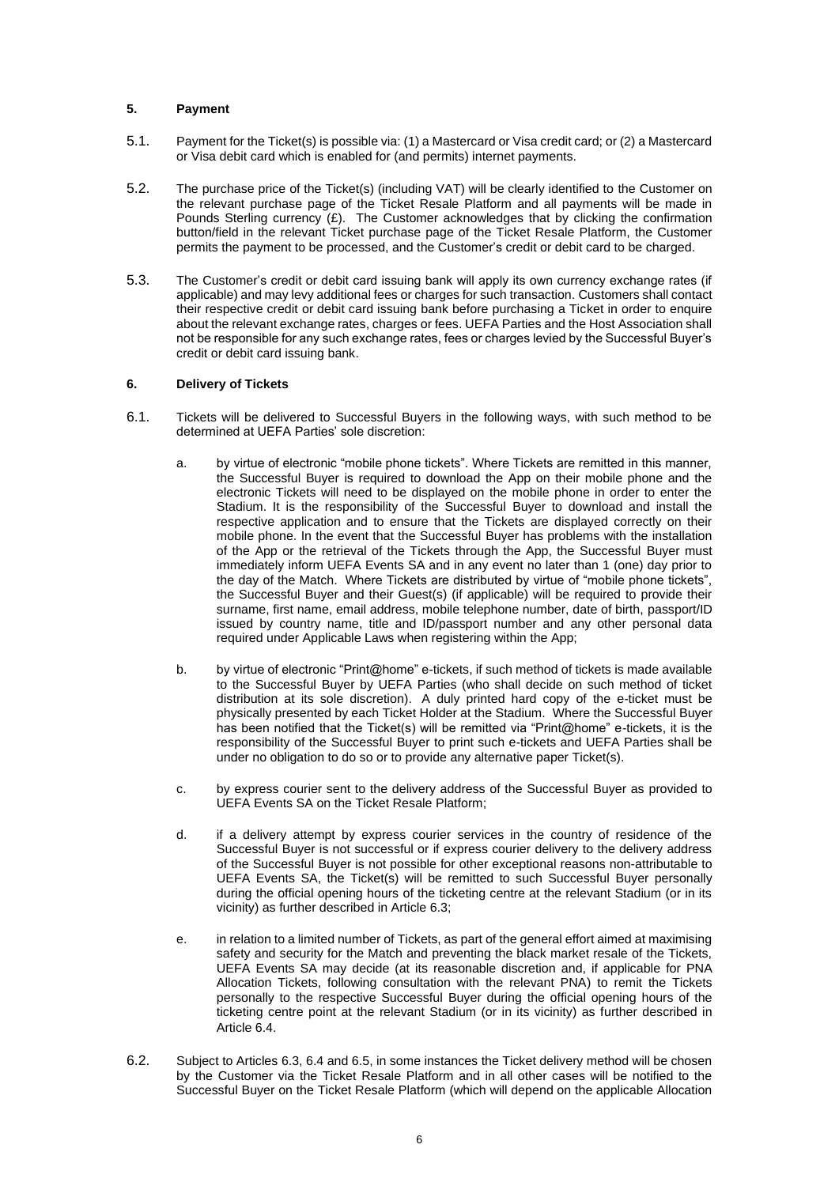## <span id="page-5-1"></span>**5. Payment**

- 5.1. Payment for the Ticket(s) is possible via: (1) a Mastercard or Visa credit card; or (2) a Mastercard or Visa debit card which is enabled for (and permits) internet payments.
- 5.2. The purchase price of the Ticket(s) (including VAT) will be clearly identified to the Customer on the relevant purchase page of the Ticket Resale Platform and all payments will be made in Pounds Sterling currency  $(E)$ . The Customer acknowledges that by clicking the confirmation button/field in the relevant Ticket purchase page of the Ticket Resale Platform, the Customer permits the payment to be processed, and the Customer's credit or debit card to be charged.
- 5.3. The Customer's credit or debit card issuing bank will apply its own currency exchange rates (if applicable) and may levy additional fees or charges for such transaction. Customers shall contact their respective credit or debit card issuing bank before purchasing a Ticket in order to enquire about the relevant exchange rates, charges or fees. UEFA Parties and the Host Association shall not be responsible for any such exchange rates, fees or charges levied by the Successful Buyer's credit or debit card issuing bank.

# <span id="page-5-0"></span>**6. Delivery of Tickets**

- <span id="page-5-2"></span>6.1. Tickets will be delivered to Successful Buyers in the following ways, with such method to be determined at UEFA Parties' sole discretion:
	- a. by virtue of electronic "mobile phone tickets". Where Tickets are remitted in this manner, the Successful Buyer is required to download the App on their mobile phone and the electronic Tickets will need to be displayed on the mobile phone in order to enter the Stadium. It is the responsibility of the Successful Buyer to download and install the respective application and to ensure that the Tickets are displayed correctly on their mobile phone. In the event that the Successful Buyer has problems with the installation of the App or the retrieval of the Tickets through the App, the Successful Buyer must immediately inform UEFA Events SA and in any event no later than 1 (one) day prior to the day of the Match. Where Tickets are distributed by virtue of "mobile phone tickets", the Successful Buyer and their Guest(s) (if applicable) will be required to provide their surname, first name, email address, mobile telephone number, date of birth, passport/ID issued by country name, title and ID/passport number and any other personal data required under Applicable Laws when registering within the App;
	- b. by virtue of electronic "Print@home" e-tickets, if such method of tickets is made available to the Successful Buyer by UEFA Parties (who shall decide on such method of ticket distribution at its sole discretion). A duly printed hard copy of the e-ticket must be physically presented by each Ticket Holder at the Stadium. Where the Successful Buyer has been notified that the Ticket(s) will be remitted via "Print@home" e-tickets, it is the responsibility of the Successful Buyer to print such e-tickets and UEFA Parties shall be under no obligation to do so or to provide any alternative paper Ticket(s).
	- c. by express courier sent to the delivery address of the Successful Buyer as provided to UEFA Events SA on the Ticket Resale Platform;
	- d. if a delivery attempt by express courier services in the country of residence of the Successful Buyer is not successful or if express courier delivery to the delivery address of the Successful Buyer is not possible for other exceptional reasons non-attributable to UEFA Events SA, the Ticket(s) will be remitted to such Successful Buyer personally during the official opening hours of the ticketing centre at the relevant Stadium (or in its vicinity) as further described in Article 6.3;
	- e. in relation to a limited number of Tickets, as part of the general effort aimed at maximising safety and security for the Match and preventing the black market resale of the Tickets, UEFA Events SA may decide (at its reasonable discretion and, if applicable for PNA Allocation Tickets, following consultation with the relevant PNA) to remit the Tickets personally to the respective Successful Buyer during the official opening hours of the ticketing centre point at the relevant Stadium (or in its vicinity) as further described in Article 6.4.
- 6.2. Subject to Article[s 6.3,](#page-6-0) [6.4](#page-6-1) and 6.5, in some instances the Ticket delivery method will be chosen by the Customer via the Ticket Resale Platform and in all other cases will be notified to the Successful Buyer on the Ticket Resale Platform (which will depend on the applicable Allocation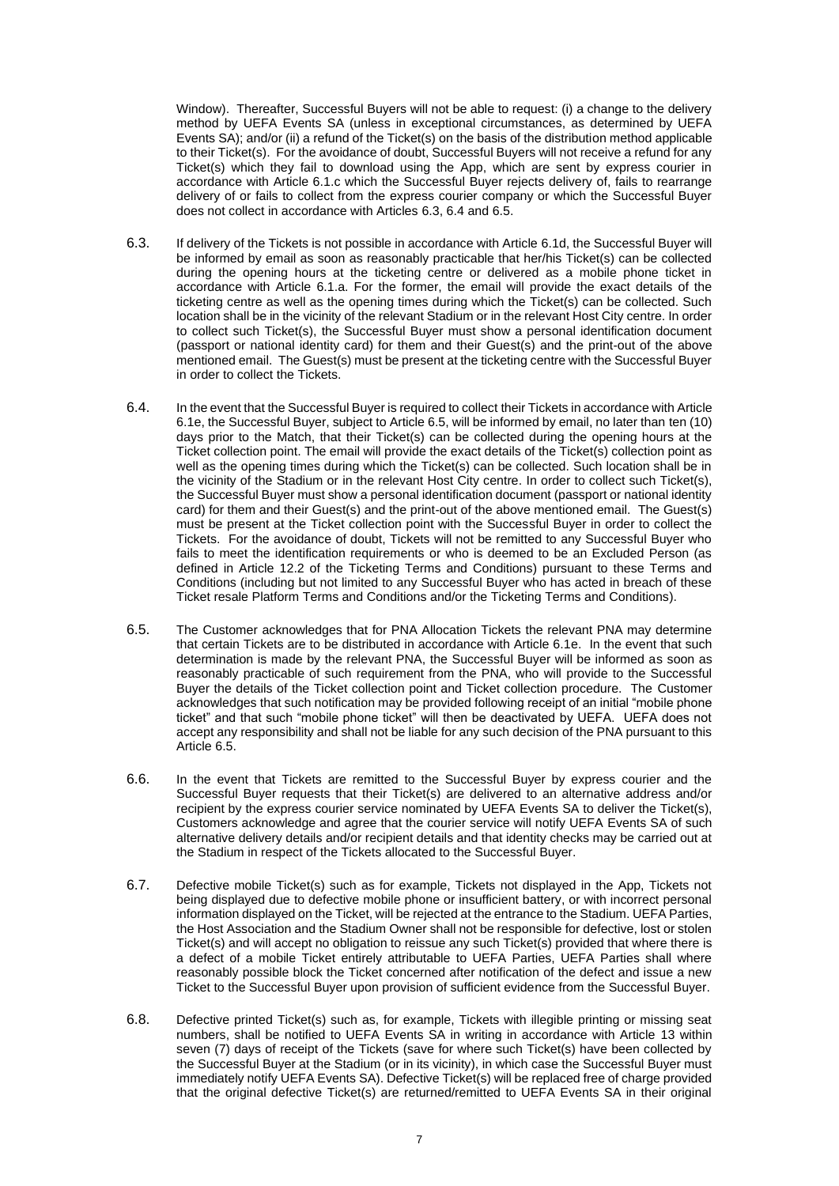Window). Thereafter, Successful Buyers will not be able to request: (i) a change to the delivery method by UEFA Events SA (unless in exceptional circumstances, as determined by UEFA Events SA); and/or (ii) a refund of the Ticket(s) on the basis of the distribution method applicable to their Ticket(s). For the avoidance of doubt, Successful Buyers will not receive a refund for any Ticket(s) which they fail to download using the App, which are sent by express courier in accordance with Article 6.1.c which the Successful Buyer rejects delivery of, fails to rearrange delivery of or fails to collect from the express courier company or which the Successful Buyer does not collect in accordance with Articles [6.3,](#page-6-0) [6.4](#page-6-1) and 6.5.

- <span id="page-6-0"></span>6.3. If delivery of the Tickets is not possible in accordance with Article 6.1d, the Successful Buyer will be informed by email as soon as reasonably practicable that her/his Ticket(s) can be collected during the opening hours at the ticketing centre or delivered as a mobile phone ticket in accordance with Article [6.1.a.](#page-5-2) For the former, the email will provide the exact details of the ticketing centre as well as the opening times during which the Ticket(s) can be collected. Such location shall be in the vicinity of the relevant Stadium or in the relevant Host City centre. In order to collect such Ticket(s), the Successful Buyer must show a personal identification document (passport or national identity card) for them and their Guest(s) and the print-out of the above mentioned email. The Guest(s) must be present at the ticketing centre with the Successful Buyer in order to collect the Tickets.
- <span id="page-6-1"></span>6.4. In the event that the Successful Buyer is required to collect their Tickets in accordance with Article 6.1e, the Successful Buyer, subject to Article 6.5, will be informed by email, no later than ten (10) days prior to the Match, that their Ticket(s) can be collected during the opening hours at the Ticket collection point. The email will provide the exact details of the Ticket(s) collection point as well as the opening times during which the Ticket(s) can be collected. Such location shall be in the vicinity of the Stadium or in the relevant Host City centre. In order to collect such Ticket(s), the Successful Buyer must show a personal identification document (passport or national identity card) for them and their Guest(s) and the print-out of the above mentioned email. The Guest(s) must be present at the Ticket collection point with the Successful Buyer in order to collect the Tickets. For the avoidance of doubt, Tickets will not be remitted to any Successful Buyer who fails to meet the identification requirements or who is deemed to be an Excluded Person (as defined in Article 12.2 of the Ticketing Terms and Conditions) pursuant to these Terms and Conditions (including but not limited to any Successful Buyer who has acted in breach of these Ticket resale Platform Terms and Conditions and/or the Ticketing Terms and Conditions).
- 6.5. The Customer acknowledges that for PNA Allocation Tickets the relevant PNA may determine that certain Tickets are to be distributed in accordance with Article 6.1e. In the event that such determination is made by the relevant PNA, the Successful Buyer will be informed as soon as reasonably practicable of such requirement from the PNA, who will provide to the Successful Buyer the details of the Ticket collection point and Ticket collection procedure. The Customer acknowledges that such notification may be provided following receipt of an initial "mobile phone ticket" and that such "mobile phone ticket" will then be deactivated by UEFA. UEFA does not accept any responsibility and shall not be liable for any such decision of the PNA pursuant to this Article 6.5.
- 6.6. In the event that Tickets are remitted to the Successful Buyer by express courier and the Successful Buyer requests that their Ticket(s) are delivered to an alternative address and/or recipient by the express courier service nominated by UEFA Events SA to deliver the Ticket(s), Customers acknowledge and agree that the courier service will notify UEFA Events SA of such alternative delivery details and/or recipient details and that identity checks may be carried out at the Stadium in respect of the Tickets allocated to the Successful Buyer.
- 6.7. Defective mobile Ticket(s) such as for example, Tickets not displayed in the App, Tickets not being displayed due to defective mobile phone or insufficient battery, or with incorrect personal information displayed on the Ticket, will be rejected at the entrance to the Stadium. UEFA Parties, the Host Association and the Stadium Owner shall not be responsible for defective, lost or stolen Ticket(s) and will accept no obligation to reissue any such Ticket(s) provided that where there is a defect of a mobile Ticket entirely attributable to UEFA Parties, UEFA Parties shall where reasonably possible block the Ticket concerned after notification of the defect and issue a new Ticket to the Successful Buyer upon provision of sufficient evidence from the Successful Buyer.
- 6.8. Defective printed Ticket(s) such as, for example, Tickets with illegible printing or missing seat numbers, shall be notified to UEFA Events SA in writing in accordance with Article [13](#page-10-0) within seven (7) days of receipt of the Tickets (save for where such Ticket(s) have been collected by the Successful Buyer at the Stadium (or in its vicinity), in which case the Successful Buyer must immediately notify UEFA Events SA). Defective Ticket(s) will be replaced free of charge provided that the original defective Ticket(s) are returned/remitted to UEFA Events SA in their original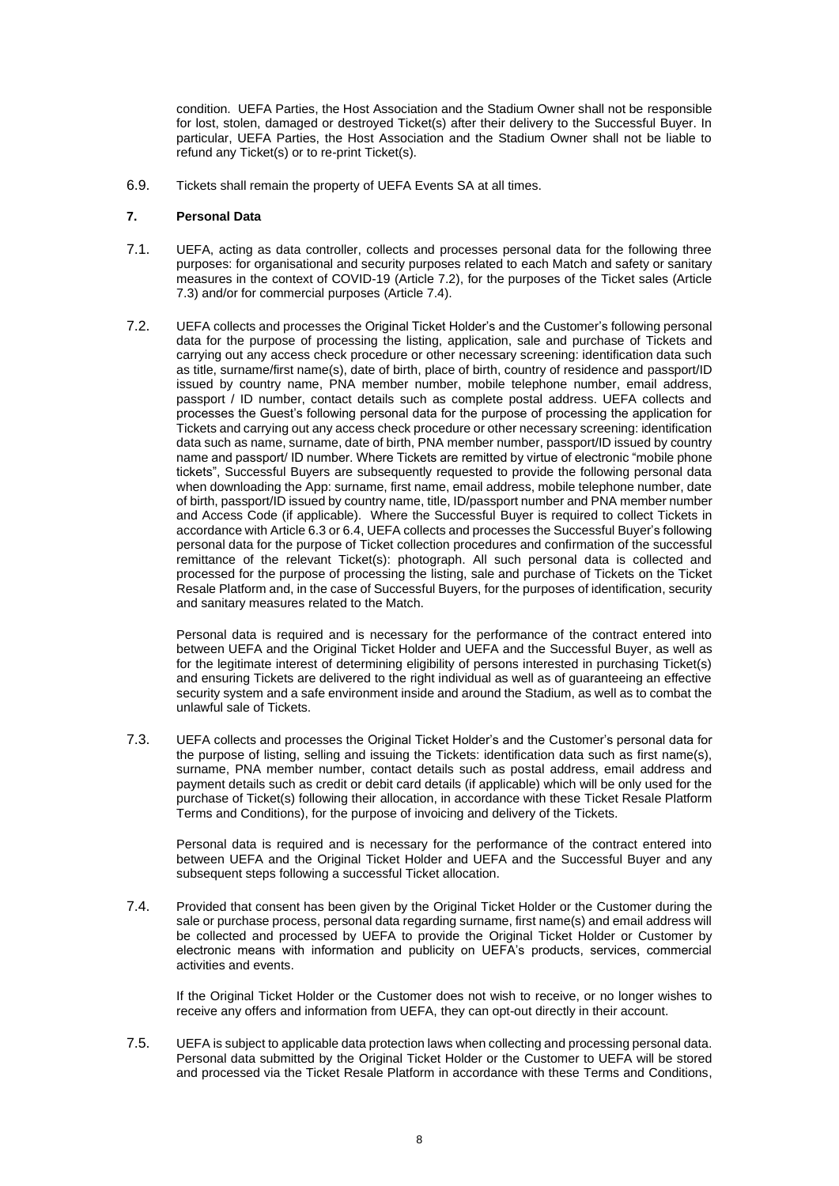condition. UEFA Parties, the Host Association and the Stadium Owner shall not be responsible for lost, stolen, damaged or destroyed Ticket(s) after their delivery to the Successful Buyer. In particular, UEFA Parties, the Host Association and the Stadium Owner shall not be liable to refund any Ticket(s) or to re-print Ticket(s).

6.9. Tickets shall remain the property of UEFA Events SA at all times.

## <span id="page-7-3"></span>**7. Personal Data**

- 7.1. UEFA, acting as data controller, collects and processes personal data for the following three purposes: for organisational and security purposes related to each Match and safety or sanitary measures in the context of COVID-19 (Article [7.2\)](#page-7-0), for the purposes of the Ticket sales (Article [7.3\)](#page-7-1) and/or for commercial purposes (Article [7.4\)](#page-7-2).
- <span id="page-7-0"></span>7.2. UEFA collects and processes the Original Ticket Holder's and the Customer's following personal data for the purpose of processing the listing, application, sale and purchase of Tickets and carrying out any access check procedure or other necessary screening: identification data such as title, surname/first name(s), date of birth, place of birth, country of residence and passport/ID issued by country name, PNA member number, mobile telephone number, email address, passport / ID number, contact details such as complete postal address. UEFA collects and processes the Guest's following personal data for the purpose of processing the application for Tickets and carrying out any access check procedure or other necessary screening: identification data such as name, surname, date of birth, PNA member number, passport/ID issued by country name and passport/ ID number. Where Tickets are remitted by virtue of electronic "mobile phone tickets", Successful Buyers are subsequently requested to provide the following personal data when downloading the App: surname, first name, email address, mobile telephone number, date of birth, passport/ID issued by country name, title, ID/passport number and PNA member number and Access Code (if applicable). Where the Successful Buyer is required to collect Tickets in accordance with Article [6.3](#page-6-0) o[r 6.4,](#page-6-1) UEFA collects and processes the Successful Buyer's following personal data for the purpose of Ticket collection procedures and confirmation of the successful remittance of the relevant Ticket(s): photograph. All such personal data is collected and processed for the purpose of processing the listing, sale and purchase of Tickets on the Ticket Resale Platform and, in the case of Successful Buyers, for the purposes of identification, security and sanitary measures related to the Match.

Personal data is required and is necessary for the performance of the contract entered into between UEFA and the Original Ticket Holder and UEFA and the Successful Buyer, as well as for the legitimate interest of determining eligibility of persons interested in purchasing Ticket(s) and ensuring Tickets are delivered to the right individual as well as of guaranteeing an effective security system and a safe environment inside and around the Stadium, as well as to combat the unlawful sale of Tickets.

<span id="page-7-1"></span>7.3. UEFA collects and processes the Original Ticket Holder's and the Customer's personal data for the purpose of listing, selling and issuing the Tickets: identification data such as first name(s), surname, PNA member number, contact details such as postal address, email address and payment details such as credit or debit card details (if applicable) which will be only used for the purchase of Ticket(s) following their allocation, in accordance with these Ticket Resale Platform Terms and Conditions), for the purpose of invoicing and delivery of the Tickets.

Personal data is required and is necessary for the performance of the contract entered into between UEFA and the Original Ticket Holder and UEFA and the Successful Buyer and any subsequent steps following a successful Ticket allocation.

<span id="page-7-2"></span>7.4. Provided that consent has been given by the Original Ticket Holder or the Customer during the sale or purchase process, personal data regarding surname, first name(s) and email address will be collected and processed by UEFA to provide the Original Ticket Holder or Customer by electronic means with information and publicity on UEFA's products, services, commercial activities and events.

If the Original Ticket Holder or the Customer does not wish to receive, or no longer wishes to receive any offers and information from UEFA, they can opt-out directly in their account.

7.5. UEFA is subject to applicable data protection laws when collecting and processing personal data. Personal data submitted by the Original Ticket Holder or the Customer to UEFA will be stored and processed via the Ticket Resale Platform in accordance with these Terms and Conditions,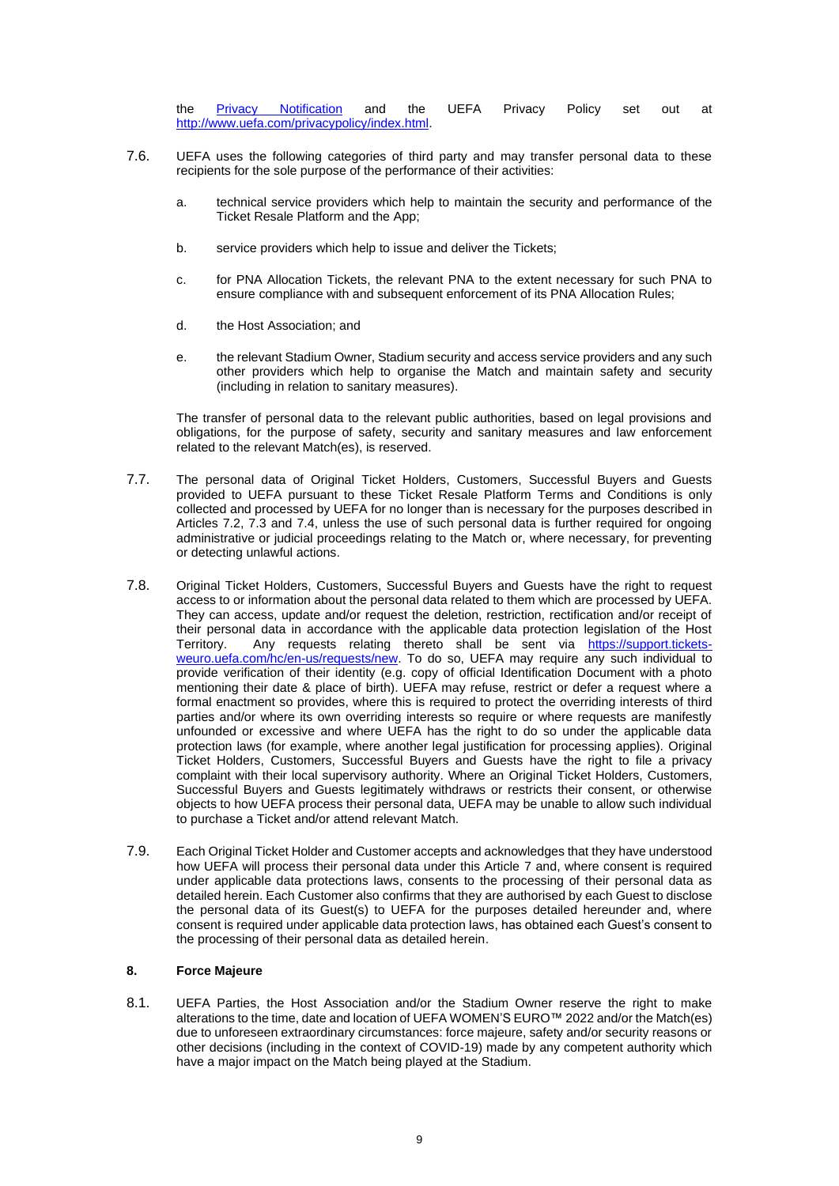the <u>[Privacy Notification](https://www.uefa.com/MultimediaFiles/Download/competitions/Ticketing/02/64/81/49/2648149_DOWNLOAD.pdf)</u> and the UEFA Privacy Policy set out at [http://www.uefa.com/privacypolicy/index.html.](http://www.uefa.com/privacypolicy/index.html)

- 7.6. UEFA uses the following categories of third party and may transfer personal data to these recipients for the sole purpose of the performance of their activities:
	- a. technical service providers which help to maintain the security and performance of the Ticket Resale Platform and the App;
	- b. service providers which help to issue and deliver the Tickets;
	- c. for PNA Allocation Tickets, the relevant PNA to the extent necessary for such PNA to ensure compliance with and subsequent enforcement of its PNA Allocation Rules;
	- d. the Host Association; and
	- e. the relevant Stadium Owner, Stadium security and access service providers and any such other providers which help to organise the Match and maintain safety and security (including in relation to sanitary measures).

The transfer of personal data to the relevant public authorities, based on legal provisions and obligations, for the purpose of safety, security and sanitary measures and law enforcement related to the relevant Match(es), is reserved.

- 7.7. The personal data of Original Ticket Holders, Customers, Successful Buyers and Guests provided to UEFA pursuant to these Ticket Resale Platform Terms and Conditions is only collected and processed by UEFA for no longer than is necessary for the purposes described in Articles [7.2,](#page-7-0) [7.3](#page-7-1) and [7.4,](#page-7-2) unless the use of such personal data is further required for ongoing administrative or judicial proceedings relating to the Match or, where necessary, for preventing or detecting unlawful actions.
- 7.8. Original Ticket Holders, Customers, Successful Buyers and Guests have the right to request access to or information about the personal data related to them which are processed by UEFA. They can access, update and/or request the deletion, restriction, rectification and/or receipt of their personal data in accordance with the applicable data protection legislation of the Host<br>Territory. Any requests relating thereto shall be sent via https://support.ticketsAny requests relating thereto shall be sent via [https://support.tickets](https://support.tickets-weuro.uefa.com/hc/en-us/requests/new)[weuro.uefa.com/hc/en-us/requests/new.](https://support.tickets-weuro.uefa.com/hc/en-us/requests/new) To do so, UEFA may require any such individual to provide verification of their identity (e.g. copy of official Identification Document with a photo mentioning their date & place of birth). UEFA may refuse, restrict or defer a request where a formal enactment so provides, where this is required to protect the overriding interests of third parties and/or where its own overriding interests so require or where requests are manifestly unfounded or excessive and where UEFA has the right to do so under the applicable data protection laws (for example, where another legal justification for processing applies). Original Ticket Holders, Customers, Successful Buyers and Guests have the right to file a privacy complaint with their local supervisory authority. Where an Original Ticket Holders, Customers, Successful Buyers and Guests legitimately withdraws or restricts their consent, or otherwise objects to how UEFA process their personal data, UEFA may be unable to allow such individual to purchase a Ticket and/or attend relevant Match.
- 7.9. Each Original Ticket Holder and Customer accepts and acknowledges that they have understood how UEFA will process their personal data under this Article [7](#page-7-3) and, where consent is required under applicable data protections laws, consents to the processing of their personal data as detailed herein. Each Customer also confirms that they are authorised by each Guest to disclose the personal data of its Guest(s) to UEFA for the purposes detailed hereunder and, where consent is required under applicable data protection laws, has obtained each Guest's consent to the processing of their personal data as detailed herein.

# **8. Force Majeure**

8.1. UEFA Parties, the Host Association and/or the Stadium Owner reserve the right to make alterations to the time, date and location of UEFA WOMEN'S EURO™ 2022 and/or the Match(es) due to unforeseen extraordinary circumstances: force majeure, safety and/or security reasons or other decisions (including in the context of COVID-19) made by any competent authority which have a major impact on the Match being played at the Stadium.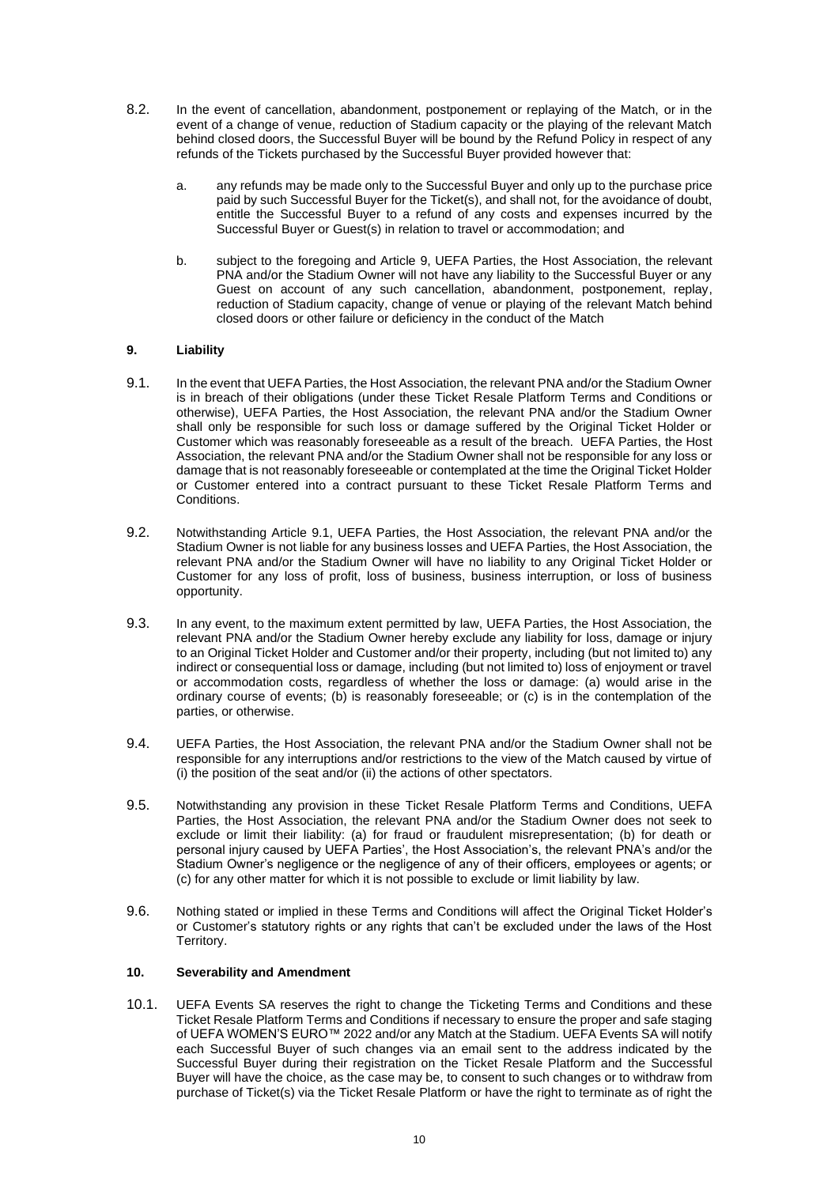- 8.2. In the event of cancellation, abandonment, postponement or replaying of the Match, or in the event of a change of venue, reduction of Stadium capacity or the playing of the relevant Match behind closed doors, the Successful Buyer will be bound by the Refund Policy in respect of any refunds of the Tickets purchased by the Successful Buyer provided however that:
	- a. any refunds may be made only to the Successful Buyer and only up to the purchase price paid by such Successful Buyer for the Ticket(s), and shall not, for the avoidance of doubt, entitle the Successful Buyer to a refund of any costs and expenses incurred by the Successful Buyer or Guest(s) in relation to travel or accommodation; and
	- b. subject to the foregoing and Article [9,](#page-9-0) UEFA Parties, the Host Association, the relevant PNA and/or the Stadium Owner will not have any liability to the Successful Buyer or any Guest on account of any such cancellation, abandonment, postponement, replay, reduction of Stadium capacity, change of venue or playing of the relevant Match behind closed doors or other failure or deficiency in the conduct of the Match

## <span id="page-9-0"></span>**9. Liability**

- <span id="page-9-1"></span>9.1. In the event that UEFA Parties, the Host Association, the relevant PNA and/or the Stadium Owner is in breach of their obligations (under these Ticket Resale Platform Terms and Conditions or otherwise), UEFA Parties, the Host Association, the relevant PNA and/or the Stadium Owner shall only be responsible for such loss or damage suffered by the Original Ticket Holder or Customer which was reasonably foreseeable as a result of the breach. UEFA Parties, the Host Association, the relevant PNA and/or the Stadium Owner shall not be responsible for any loss or damage that is not reasonably foreseeable or contemplated at the time the Original Ticket Holder or Customer entered into a contract pursuant to these Ticket Resale Platform Terms and Conditions.
- 9.2. Notwithstanding Article [9.1,](#page-9-1) UEFA Parties, the Host Association, the relevant PNA and/or the Stadium Owner is not liable for any business losses and UEFA Parties, the Host Association, the relevant PNA and/or the Stadium Owner will have no liability to any Original Ticket Holder or Customer for any loss of profit, loss of business, business interruption, or loss of business opportunity.
- 9.3. In any event, to the maximum extent permitted by law, UEFA Parties, the Host Association, the relevant PNA and/or the Stadium Owner hereby exclude any liability for loss, damage or injury to an Original Ticket Holder and Customer and/or their property, including (but not limited to) any indirect or consequential loss or damage, including (but not limited to) loss of enjoyment or travel or accommodation costs, regardless of whether the loss or damage: (a) would arise in the ordinary course of events; (b) is reasonably foreseeable; or (c) is in the contemplation of the parties, or otherwise.
- 9.4. UEFA Parties, the Host Association, the relevant PNA and/or the Stadium Owner shall not be responsible for any interruptions and/or restrictions to the view of the Match caused by virtue of (i) the position of the seat and/or (ii) the actions of other spectators.
- 9.5. Notwithstanding any provision in these Ticket Resale Platform Terms and Conditions, UEFA Parties, the Host Association, the relevant PNA and/or the Stadium Owner does not seek to exclude or limit their liability: (a) for fraud or fraudulent misrepresentation; (b) for death or personal injury caused by UEFA Parties', the Host Association's, the relevant PNA's and/or the Stadium Owner's negligence or the negligence of any of their officers, employees or agents; or (c) for any other matter for which it is not possible to exclude or limit liability by law.
- 9.6. Nothing stated or implied in these Terms and Conditions will affect the Original Ticket Holder's or Customer's statutory rights or any rights that can't be excluded under the laws of the Host Territory.

#### **10. Severability and Amendment**

10.1. UEFA Events SA reserves the right to change the Ticketing Terms and Conditions and these Ticket Resale Platform Terms and Conditions if necessary to ensure the proper and safe staging of UEFA WOMEN'S EURO™ 2022 and/or any Match at the Stadium. UEFA Events SA will notify each Successful Buyer of such changes via an email sent to the address indicated by the Successful Buyer during their registration on the Ticket Resale Platform and the Successful Buyer will have the choice, as the case may be, to consent to such changes or to withdraw from purchase of Ticket(s) via the Ticket Resale Platform or have the right to terminate as of right the